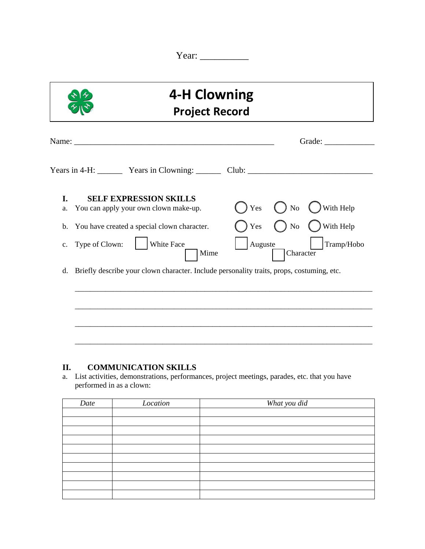Year: \_\_\_\_\_\_\_\_\_\_

| <b>4-H Clowning</b><br><b>Project Record</b>                                                                                                                                          |                                                                                              |  |  |  |  |
|---------------------------------------------------------------------------------------------------------------------------------------------------------------------------------------|----------------------------------------------------------------------------------------------|--|--|--|--|
| Name: 2008. 2008. 2010. 2010. 2010. 2010. 2010. 2010. 2010. 2010. 2010. 2010. 2010. 2010. 2010. 2010. 2010. 20                                                                        |                                                                                              |  |  |  |  |
| Years in 4-H: Years in Clowning: Club: Club:                                                                                                                                          |                                                                                              |  |  |  |  |
| I.<br><b>SELF EXPRESSION SKILLS</b><br>You can apply your own clown make-up.<br>a.<br>You have created a special clown character.<br>b.<br>White Face<br>Type of Clown:<br>c.<br>Mime | With Help<br>Yes<br>$\rm No$<br>Yes<br>With Help<br>No<br>Auguste<br>Tramp/Hobo<br>Character |  |  |  |  |
| Briefly describe your clown character. Include personality traits, props, costuming, etc.<br>d.                                                                                       |                                                                                              |  |  |  |  |
|                                                                                                                                                                                       |                                                                                              |  |  |  |  |

## **II. COMMUNICATION SKILLS**

a. List activities, demonstrations, performances, project meetings, parades, etc. that you have performed in as a clown:

| Date | Location | What you did |
|------|----------|--------------|
|      |          |              |
|      |          |              |
|      |          |              |
|      |          |              |
|      |          |              |
|      |          |              |
|      |          |              |
|      |          |              |
|      |          |              |
|      |          |              |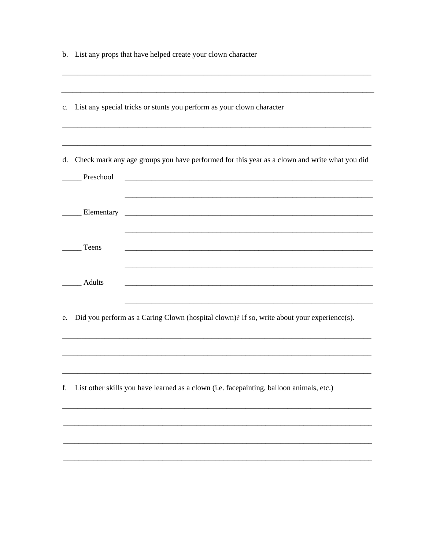|    | b. List any props that have helped create your clown character                                            |
|----|-----------------------------------------------------------------------------------------------------------|
|    | c. List any special tricks or stunts you perform as your clown character                                  |
| d. | Check mark any age groups you have performed for this year as a clown and write what you did<br>Preschool |
|    | Elementary                                                                                                |
|    | Teens                                                                                                     |
|    | Adults                                                                                                    |
| e. | Did you perform as a Caring Clown (hospital clown)? If so, write about your experience(s).                |
| f. | List other skills you have learned as a clown (i.e. facepainting, balloon animals, etc.)                  |
|    |                                                                                                           |